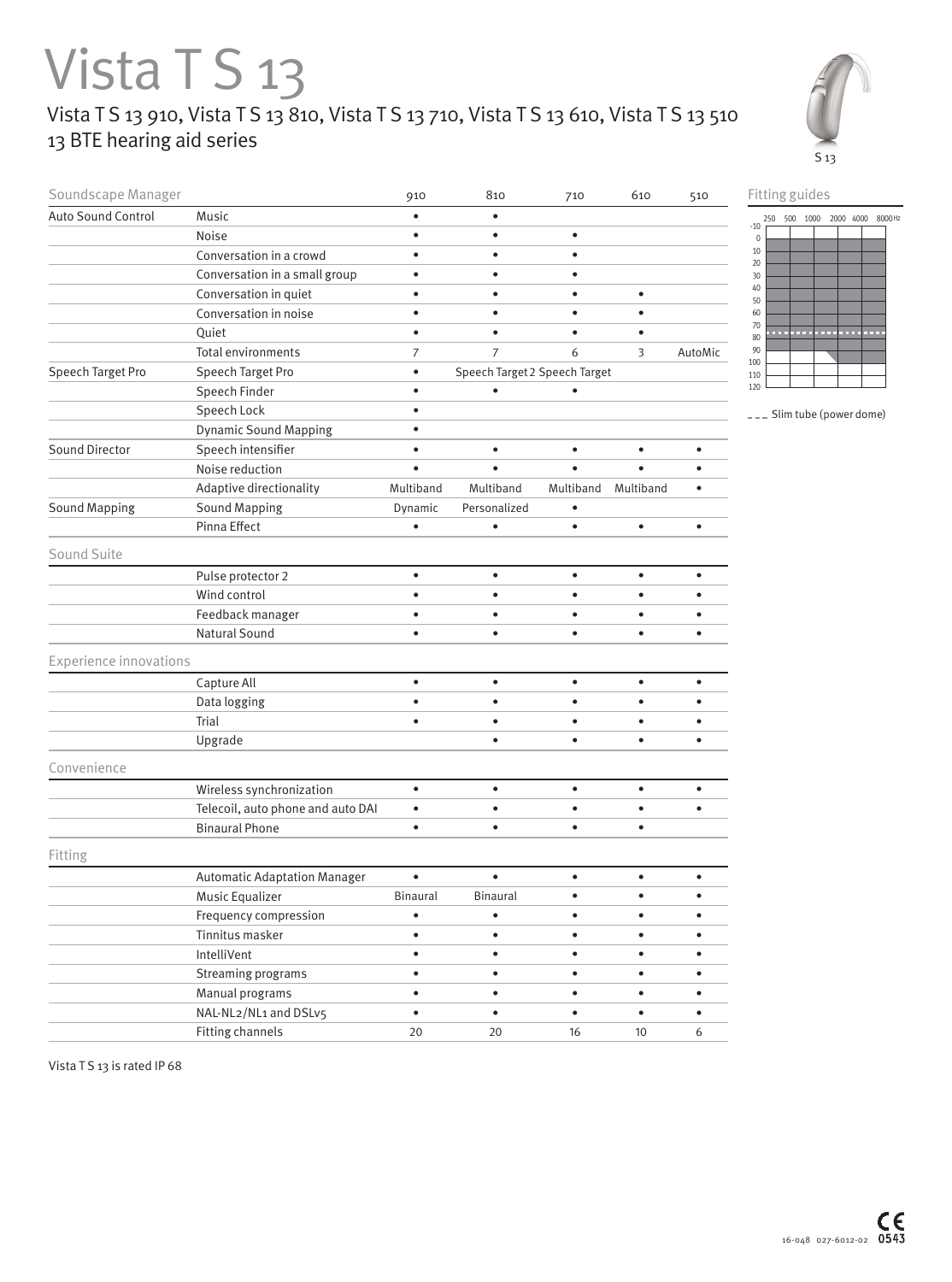## Vista TS 13 Vista T S 13 910, Vista T S 13 810, Vista T S 13 710, Vista T S 13 610, Vista T S 13 510 13 BTE hearing aid series





<sup>---</sup> Slim tube (power dome)

| Soundscape Manager            |                                          | 910                                        | 810             | 710       | 610       | 510       |
|-------------------------------|------------------------------------------|--------------------------------------------|-----------------|-----------|-----------|-----------|
| <b>Auto Sound Control</b>     | Music                                    | $\bullet$                                  | $\bullet$       |           |           |           |
|                               | Noise                                    | $\bullet$                                  | $\bullet$       | $\bullet$ |           |           |
|                               | Conversation in a crowd                  | $\bullet$                                  | $\bullet$       | $\bullet$ |           |           |
|                               | Conversation in a small group            | $\bullet$                                  | $\bullet$       |           |           |           |
|                               | Conversation in quiet                    | $\bullet$                                  | $\bullet$       | $\bullet$ | $\bullet$ |           |
|                               | Conversation in noise                    | $\bullet$                                  | $\bullet$       | $\bullet$ | $\bullet$ |           |
|                               | Quiet                                    | $\bullet$                                  | $\bullet$       |           |           |           |
|                               | Total environments                       | $\overline{7}$                             | $\overline{7}$  | 6         | 3         | AutoMic   |
| Speech Target Pro             | Speech Target Pro                        | Speech Target 2 Speech Target<br>$\bullet$ |                 |           |           |           |
|                               | Speech Finder                            | $\bullet$                                  |                 |           |           |           |
|                               | Speech Lock                              | $\bullet$                                  |                 |           |           |           |
|                               | <b>Dynamic Sound Mapping</b>             | $\bullet$                                  |                 |           |           |           |
| Sound Director                | Speech intensifier                       | $\bullet$                                  | $\bullet$       | $\bullet$ | $\bullet$ |           |
|                               | Noise reduction                          | $\bullet$                                  | $\bullet$       |           |           |           |
|                               | Adaptive directionality                  | Multiband                                  | Multiband       | Multiband | Multiband | $\bullet$ |
| <b>Sound Mapping</b>          | <b>Sound Mapping</b>                     | Dynamic                                    | Personalized    |           |           |           |
|                               | Pinna Effect                             | $\bullet$                                  | $\bullet$       | $\bullet$ | $\bullet$ | $\bullet$ |
| Sound Suite                   |                                          |                                            |                 |           |           |           |
|                               | Pulse protector 2                        | $\bullet$                                  | $\bullet$       | $\bullet$ | $\bullet$ |           |
|                               | Wind control                             | $\bullet$                                  | $\bullet$       | $\bullet$ | $\bullet$ |           |
|                               | Feedback manager                         | $\bullet$                                  | $\bullet$       | $\bullet$ | $\bullet$ |           |
|                               | <b>Natural Sound</b>                     | $\bullet$                                  | $\bullet$       | $\bullet$ | $\bullet$ | $\bullet$ |
|                               |                                          |                                            |                 |           |           |           |
| <b>Experience innovations</b> |                                          |                                            |                 |           |           |           |
|                               | Capture All                              | $\bullet$                                  | $\bullet$       | $\bullet$ | $\bullet$ | $\bullet$ |
|                               | Data logging                             | $\bullet$                                  | $\bullet$       | $\bullet$ | $\bullet$ |           |
|                               | Trial                                    | $\bullet$                                  | $\bullet$       | $\bullet$ | $\bullet$ |           |
|                               | Upgrade                                  |                                            | $\bullet$       | $\bullet$ | $\bullet$ | $\bullet$ |
| Convenience                   |                                          |                                            |                 |           |           |           |
|                               | Wireless synchronization                 | $\bullet$                                  | $\bullet$       | $\bullet$ | $\bullet$ | $\bullet$ |
|                               | Telecoil, auto phone and auto DAI        | $\bullet$                                  | $\bullet$       | $\bullet$ | $\bullet$ | $\bullet$ |
|                               | <b>Binaural Phone</b>                    | $\bullet$                                  | $\bullet$       | $\bullet$ | $\bullet$ |           |
| Fitting                       |                                          |                                            |                 |           |           |           |
|                               |                                          | $\bullet$                                  | $\bullet$       | $\bullet$ | $\bullet$ | $\bullet$ |
|                               | <b>Automatic Adaptation Manager</b>      | <b>Binaural</b>                            |                 | $\bullet$ | $\bullet$ | $\bullet$ |
|                               | Music Equalizer                          |                                            | <b>Binaural</b> |           |           |           |
|                               | Frequency compression<br>Tinnitus masker | $\bullet$                                  | $\bullet$       | $\bullet$ | $\bullet$ | $\bullet$ |
|                               | IntelliVent                              | $\bullet$                                  | $\bullet$       | $\bullet$ | $\bullet$ | $\bullet$ |
|                               |                                          | $\bullet$                                  | $\bullet$       | $\bullet$ | $\bullet$ | $\bullet$ |
|                               | Streaming programs<br>Manual programs    | $\bullet$                                  | $\bullet$       | $\bullet$ | $\bullet$ | $\bullet$ |
|                               | NAL-NL2/NL1 and DSLv5                    | $\bullet$                                  | $\bullet$       | $\bullet$ | $\bullet$ | $\bullet$ |
|                               |                                          |                                            |                 |           |           |           |
|                               | Fitting channels                         | $20\,$                                     | $20\,$          | 16        | $10\,$    | 6         |

Vista TS 13 is rated IP 68